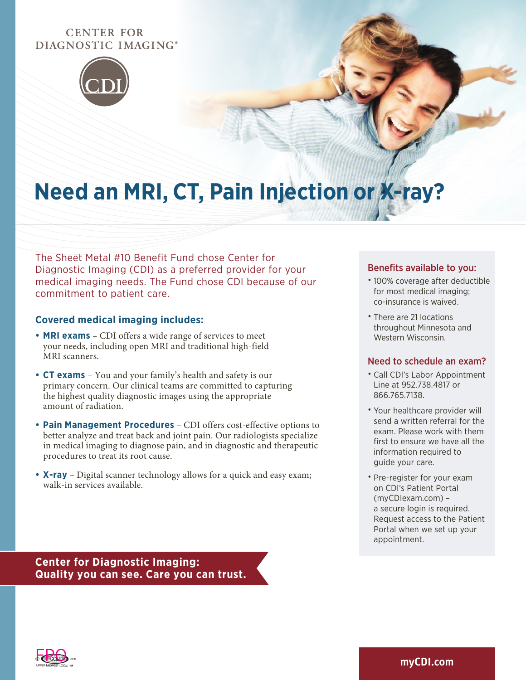## **CENTER FOR** DIAGNOSTIC IMAGING®



# **Need an MRI, CT, Pain Injection or X-ray?**

The Sheet Metal #10 Benefit Fund chose Center for Diagnostic Imaging (CDI) as a preferred provider for your medical imaging needs. The Fund chose CDI because of our commitment to patient care.

#### **Covered medical imaging includes:**

- **• MRI exams** CDI offers a wide range of services to meet your needs, including open MRI and traditional high-field MRI scanners.
- **• CT exams**  You and your family's health and safety is our primary concern. Our clinical teams are committed to capturing the highest quality diagnostic images using the appropriate amount of radiation.
- **• Pain Management Procedures** CDI offers cost-effective options to better analyze and treat back and joint pain. Our radiologists specialize in medical imaging to diagnose pain, and in diagnostic and therapeutic procedures to treat its root cause.
- **• X-ray** Digital scanner technology allows for a quick and easy exam; walk-in services available.

#### Benefits available to you:

- 100% coverage after deductible for most medical imaging; co-insurance is waived.
- There are 21 locations throughout Minnesota and Western Wisconsin.

#### Need to schedule an exam?

- Call CDI's Labor Appointment Line at 952.738.4817 or 866.765.7138.
- Your healthcare provider will send a written referral for the exam. Please work with them first to ensure we have all the information required to guide your care.
- Pre-register for your exam on CDI's Patient Portal (myCDIexam.com) – a secure login is required. Request access to the Patient Portal when we set up your appointment.

**Center for Diagnostic Imaging: Quality you can see. Care you can trust.**